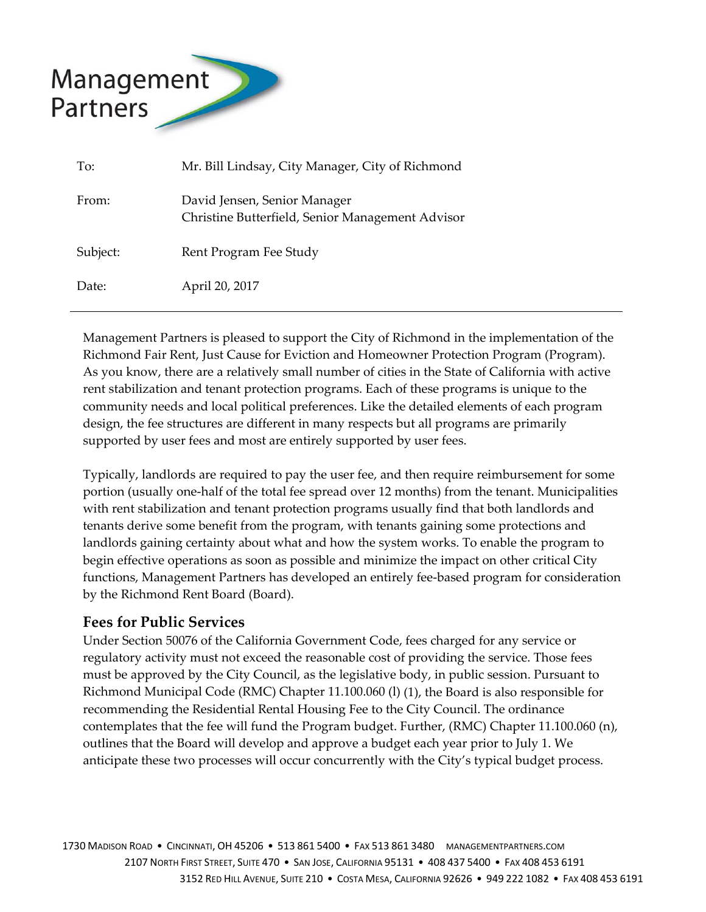

| To:      | Mr. Bill Lindsay, City Manager, City of Richmond                                 |
|----------|----------------------------------------------------------------------------------|
| From:    | David Jensen, Senior Manager<br>Christine Butterfield, Senior Management Advisor |
| Subject: | Rent Program Fee Study                                                           |
| Date:    | April 20, 2017                                                                   |

Management Partners is pleased to support the City of Richmond in the implementation of the Richmond Fair Rent, Just Cause for Eviction and Homeowner Protection Program (Program). As you know, there are a relatively small number of cities in the State of California with active rent stabilization and tenant protection programs. Each of these programs is unique to the community needs and local political preferences. Like the detailed elements of each program design, the fee structures are different in many respects but all programs are primarily supported by user fees and most are entirely supported by user fees.

Typically, landlords are required to pay the user fee, and then require reimbursement for some portion (usually one‐half of the total fee spread over 12 months) from the tenant. Municipalities with rent stabilization and tenant protection programs usually find that both landlords and tenants derive some benefit from the program, with tenants gaining some protections and landlords gaining certainty about what and how the system works. To enable the program to begin effective operations as soon as possible and minimize the impact on other critical City functions, Management Partners has developed an entirely fee‐based program for consideration by the Richmond Rent Board (Board).

#### **Fees for Public Services**

Under Section 50076 of the California Government Code, fees charged for any service or regulatory activity must not exceed the reasonable cost of providing the service. Those fees must be approved by the City Council, as the legislative body, in public session. Pursuant to Richmond Municipal Code (RMC) Chapter 11.100.060 (l) (1), the Board is also responsible for recommending the Residential Rental Housing Fee to the City Council. The ordinance contemplates that the fee will fund the Program budget. Further, (RMC) Chapter 11.100.060 (n), outlines that the Board will develop and approve a budget each year prior to July 1. We anticipate these two processes will occur concurrently with the City's typical budget process.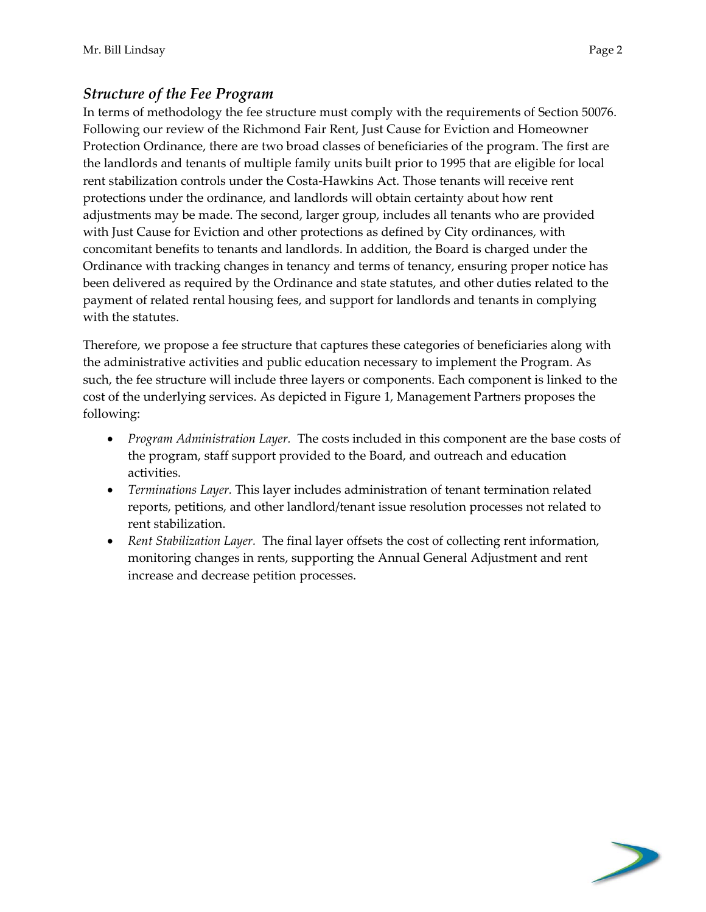#### *Structure of the Fee Program*

In terms of methodology the fee structure must comply with the requirements of Section 50076. Following our review of the Richmond Fair Rent, Just Cause for Eviction and Homeowner Protection Ordinance, there are two broad classes of beneficiaries of the program. The first are the landlords and tenants of multiple family units built prior to 1995 that are eligible for local rent stabilization controls under the Costa‐Hawkins Act. Those tenants will receive rent protections under the ordinance, and landlords will obtain certainty about how rent adjustments may be made. The second, larger group, includes all tenants who are provided with Just Cause for Eviction and other protections as defined by City ordinances, with concomitant benefits to tenants and landlords. In addition, the Board is charged under the Ordinance with tracking changes in tenancy and terms of tenancy, ensuring proper notice has been delivered as required by the Ordinance and state statutes, and other duties related to the payment of related rental housing fees, and support for landlords and tenants in complying with the statutes.

Therefore, we propose a fee structure that captures these categories of beneficiaries along with the administrative activities and public education necessary to implement the Program. As such, the fee structure will include three layers or components. Each component is linked to the cost of the underlying services. As depicted in Figure 1, Management Partners proposes the following:

- *Program Administration Layer.* The costs included in this component are the base costs of the program, staff support provided to the Board, and outreach and education activities.
- *Terminations Layer.* This layer includes administration of tenant termination related reports, petitions, and other landlord/tenant issue resolution processes not related to rent stabilization.
- *Rent Stabilization Layer.* The final layer offsets the cost of collecting rent information, monitoring changes in rents, supporting the Annual General Adjustment and rent increase and decrease petition processes.

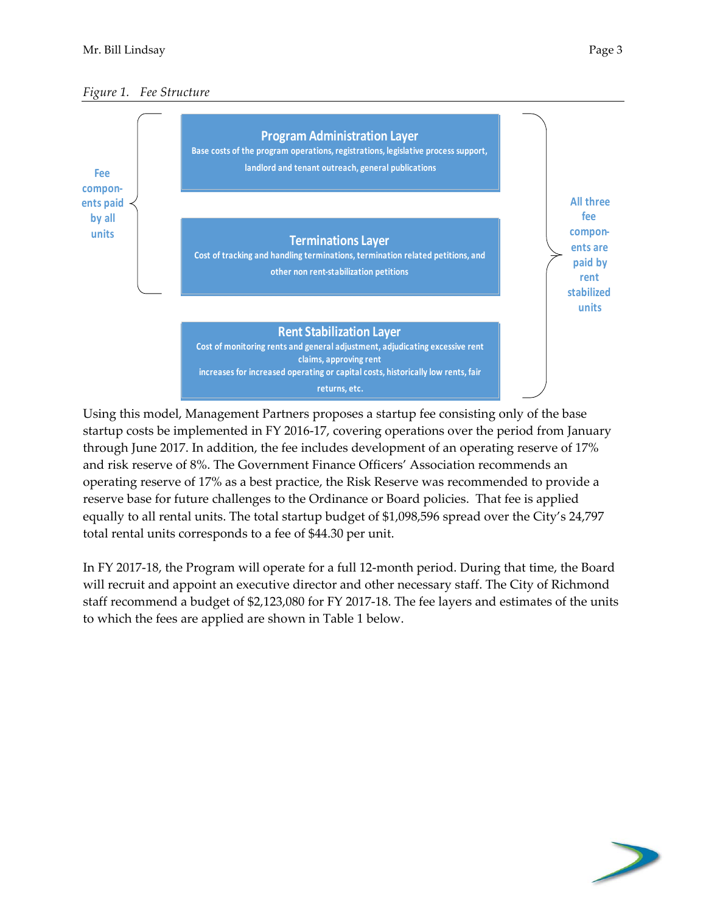



Using this model, Management Partners proposes a startup fee consisting only of the base startup costs be implemented in FY 2016‐17, covering operations over the period from January through June 2017. In addition, the fee includes development of an operating reserve of 17% and risk reserve of 8%. The Government Finance Officers' Association recommends an operating reserve of 17% as a best practice, the Risk Reserve was recommended to provide a reserve base for future challenges to the Ordinance or Board policies. That fee is applied equally to all rental units. The total startup budget of \$1,098,596 spread over the City's 24,797 total rental units corresponds to a fee of \$44.30 per unit.

In FY 2017‐18, the Program will operate for a full 12‐month period. During that time, the Board will recruit and appoint an executive director and other necessary staff. The City of Richmond staff recommend a budget of \$2,123,080 for FY 2017‐18. The fee layers and estimates of the units to which the fees are applied are shown in Table 1 below.

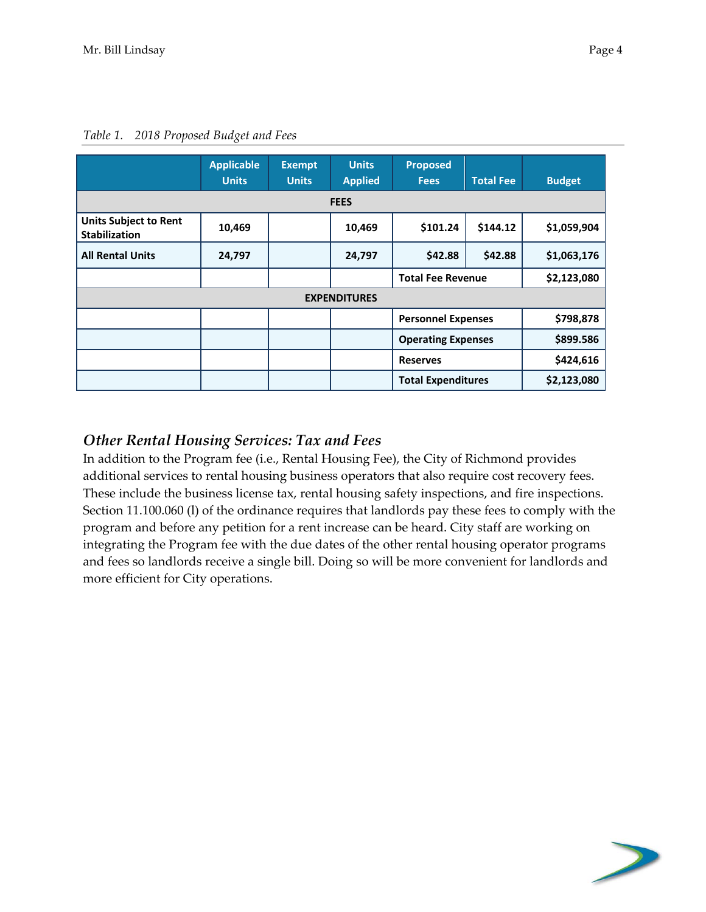|                                                      | <b>Applicable</b><br><b>Units</b> | <b>Exempt</b><br><b>Units</b> | <b>Units</b><br><b>Applied</b> | <b>Proposed</b><br><b>Fees</b> | <b>Budget</b> |             |  |  |  |  |  |
|------------------------------------------------------|-----------------------------------|-------------------------------|--------------------------------|--------------------------------|---------------|-------------|--|--|--|--|--|
| <b>FEES</b>                                          |                                   |                               |                                |                                |               |             |  |  |  |  |  |
| <b>Units Subject to Rent</b><br><b>Stabilization</b> | 10,469                            |                               | 10,469                         | \$101.24                       | \$1,059,904   |             |  |  |  |  |  |
| <b>All Rental Units</b>                              | 24,797                            |                               | 24,797                         | \$42.88                        | \$1,063,176   |             |  |  |  |  |  |
|                                                      |                                   |                               |                                | <b>Total Fee Revenue</b>       | \$2,123,080   |             |  |  |  |  |  |
|                                                      |                                   |                               | <b>EXPENDITURES</b>            |                                |               |             |  |  |  |  |  |
|                                                      |                                   |                               |                                | <b>Personnel Expenses</b>      |               | \$798,878   |  |  |  |  |  |
|                                                      |                                   |                               |                                | <b>Operating Expenses</b>      |               | \$899.586   |  |  |  |  |  |
|                                                      |                                   |                               |                                | <b>Reserves</b>                |               | \$424,616   |  |  |  |  |  |
|                                                      |                                   |                               |                                | <b>Total Expenditures</b>      |               | \$2,123,080 |  |  |  |  |  |

*Table 1. 2018 Proposed Budget and Fees*

#### *Other Rental Housing Services: Tax and Fees*

In addition to the Program fee (i.e., Rental Housing Fee), the City of Richmond provides additional services to rental housing business operators that also require cost recovery fees. These include the business license tax, rental housing safety inspections, and fire inspections. Section 11.100.060 (l) of the ordinance requires that landlords pay these fees to comply with the program and before any petition for a rent increase can be heard. City staff are working on integrating the Program fee with the due dates of the other rental housing operator programs and fees so landlords receive a single bill. Doing so will be more convenient for landlords and more efficient for City operations.

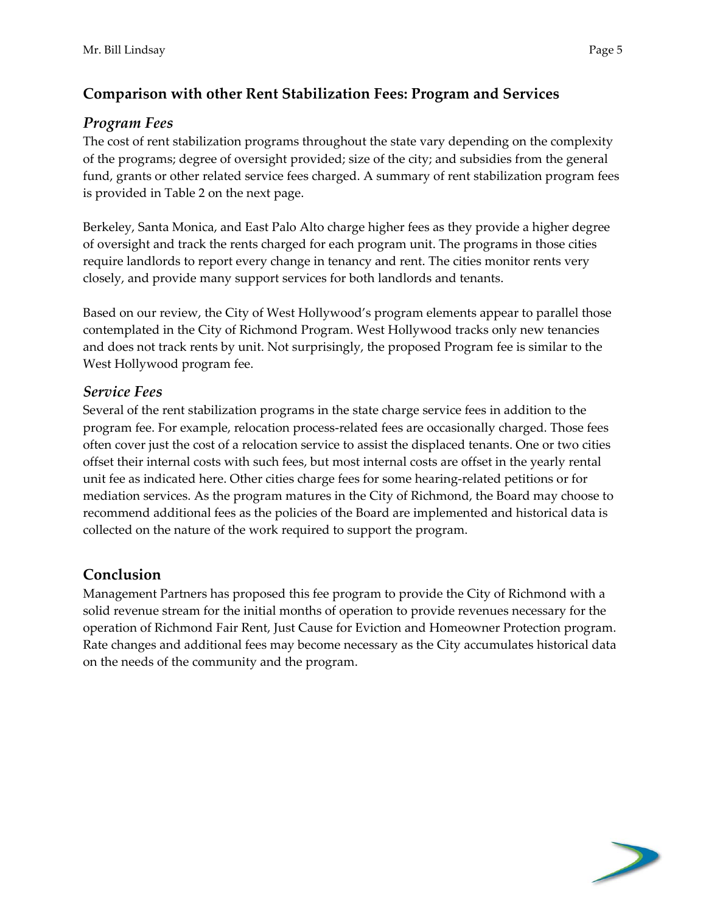# **Comparison with other Rent Stabilization Fees: Program and Services**

### *Program Fees*

The cost of rent stabilization programs throughout the state vary depending on the complexity of the programs; degree of oversight provided; size of the city; and subsidies from the general fund, grants or other related service fees charged. A summary of rent stabilization program fees is provided in Table 2 on the next page.

Berkeley, Santa Monica, and East Palo Alto charge higher fees as they provide a higher degree of oversight and track the rents charged for each program unit. The programs in those cities require landlords to report every change in tenancy and rent. The cities monitor rents very closely, and provide many support services for both landlords and tenants.

Based on our review, the City of West Hollywood's program elements appear to parallel those contemplated in the City of Richmond Program. West Hollywood tracks only new tenancies and does not track rents by unit. Not surprisingly, the proposed Program fee is similar to the West Hollywood program fee.

#### *Service Fees*

Several of the rent stabilization programs in the state charge service fees in addition to the program fee. For example, relocation process-related fees are occasionally charged. Those fees often cover just the cost of a relocation service to assist the displaced tenants. One or two cities offset their internal costs with such fees, but most internal costs are offset in the yearly rental unit fee as indicated here. Other cities charge fees for some hearing‐related petitions or for mediation services. As the program matures in the City of Richmond, the Board may choose to recommend additional fees as the policies of the Board are implemented and historical data is collected on the nature of the work required to support the program.

## **Conclusion**

Management Partners has proposed this fee program to provide the City of Richmond with a solid revenue stream for the initial months of operation to provide revenues necessary for the operation of Richmond Fair Rent, Just Cause for Eviction and Homeowner Protection program. Rate changes and additional fees may become necessary as the City accumulates historical data on the needs of the community and the program.

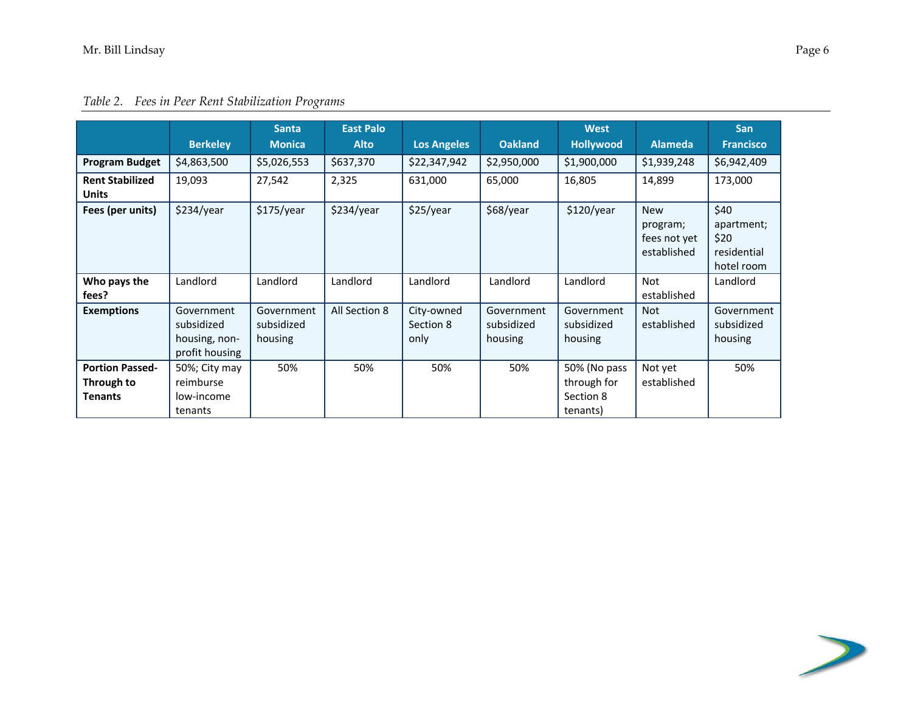|                                                        |                                                             | <b>Santa</b>                        | <b>East Palo</b> |                                 |                                     | <b>West</b>                                          |                                                       | <b>San</b>                                              |
|--------------------------------------------------------|-------------------------------------------------------------|-------------------------------------|------------------|---------------------------------|-------------------------------------|------------------------------------------------------|-------------------------------------------------------|---------------------------------------------------------|
|                                                        | <b>Berkeley</b>                                             | <b>Monica</b>                       | <b>Alto</b>      | <b>Los Angeles</b>              | <b>Oakland</b>                      | <b>Hollywood</b>                                     | <b>Alameda</b>                                        | <b>Francisco</b>                                        |
| <b>Program Budget</b>                                  | \$4,863,500                                                 | \$5,026,553                         | \$637,370        | \$22,347,942                    | \$2,950,000                         | \$1,900,000                                          | \$1,939,248                                           | \$6,942,409                                             |
| <b>Rent Stabilized</b><br><b>Units</b>                 | 19,093                                                      | 27,542                              | 2,325            | 631,000                         | 65,000                              | 16,805                                               | 14,899                                                | 173,000                                                 |
| Fees (per units)                                       | \$234/year                                                  | \$175/year                          | \$234/year       | \$25/year                       | \$68/year                           | \$120/year                                           | <b>New</b><br>program;<br>fees not yet<br>established | \$40<br>apartment;<br>\$20<br>residential<br>hotel room |
| Who pays the<br>fees?                                  | Landlord                                                    | Landlord                            | Landlord         | Landlord                        | Landlord                            | Landlord                                             | Not<br>established                                    | Landlord                                                |
| <b>Exemptions</b>                                      | Government<br>subsidized<br>housing, non-<br>profit housing | Government<br>subsidized<br>housing | All Section 8    | City-owned<br>Section 8<br>only | Government<br>subsidized<br>housing | Government<br>subsidized<br>housing                  | <b>Not</b><br>established                             | Government<br>subsidized<br>housing                     |
| <b>Portion Passed-</b><br>Through to<br><b>Tenants</b> | 50%; City may<br>reimburse<br>low-income<br>tenants         | 50%                                 | 50%              | 50%                             | 50%                                 | 50% (No pass<br>through for<br>Section 8<br>tenants) | Not yet<br>established                                | 50%                                                     |



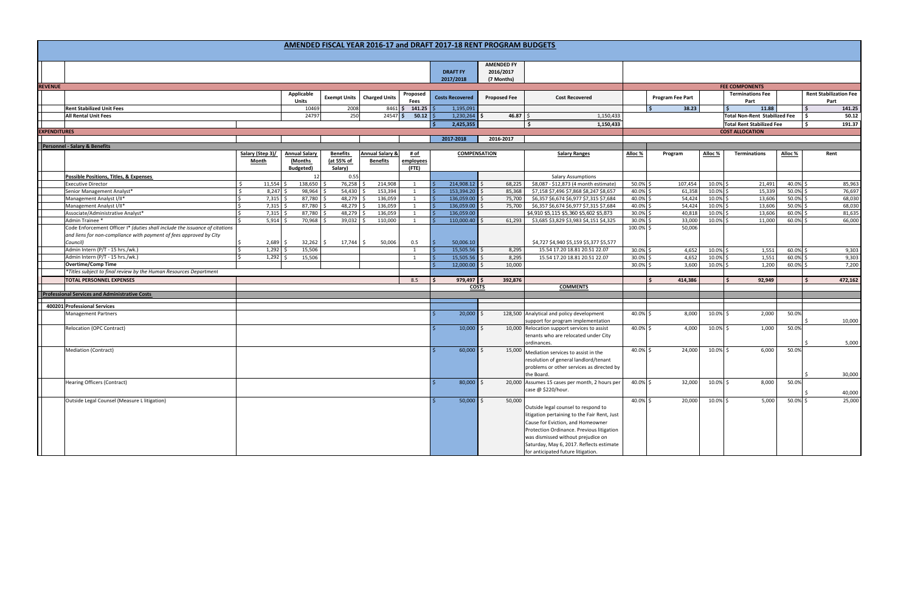|                     |                                                                             |                       |                            |                       |                            |                     |                        | <b>AMENDED FY</b>   |                                                                                                                                  |                      |                         |                      |                                      |                |                                       |
|---------------------|-----------------------------------------------------------------------------|-----------------------|----------------------------|-----------------------|----------------------------|---------------------|------------------------|---------------------|----------------------------------------------------------------------------------------------------------------------------------|----------------------|-------------------------|----------------------|--------------------------------------|----------------|---------------------------------------|
|                     |                                                                             |                       |                            |                       |                            |                     | <b>DRAFT FY</b>        | 2016/2017           |                                                                                                                                  |                      |                         |                      |                                      |                |                                       |
|                     |                                                                             |                       |                            |                       |                            |                     | 2017/2018              | (7 Months)          |                                                                                                                                  |                      |                         |                      |                                      |                |                                       |
| <b>REVENUE</b>      |                                                                             |                       |                            |                       |                            |                     |                        |                     |                                                                                                                                  |                      |                         |                      | <b>FEE COMPONENTS</b>                |                |                                       |
|                     |                                                                             |                       | Applicable<br><b>Units</b> | <b>Exempt Units</b>   | <b>Charged Units</b>       | Proposed<br>Fees    | <b>Costs Recovered</b> | <b>Proposed Fee</b> | <b>Cost Recovered</b>                                                                                                            |                      | <b>Program Fee Part</b> |                      | <b>Terminations Fee</b><br>Part      |                | <b>Rent Stabilization Fee</b><br>Part |
|                     | <b>Rent Stabilized Unit Fees</b>                                            |                       | 10469                      | 2008                  |                            | 8461 \$ 141.25      | 1,195,091              |                     |                                                                                                                                  |                      | l s<br>38.23            |                      | 11.88                                |                | 141.25                                |
|                     | <b>All Rental Unit Fees</b>                                                 |                       | 24797                      | 250                   | $24547$ \$                 | 50.12               | 1,230,264              | 46.87               | 1,150,433<br>I S.                                                                                                                |                      |                         |                      | <b>Total Non-Rent Stabilized Fee</b> |                | 50.12                                 |
|                     |                                                                             |                       |                            |                       |                            |                     | 2,425,355              |                     | 1,150,433                                                                                                                        |                      |                         |                      | <b>Total Rent Stabilized Fee</b>     |                | 191.37                                |
| <b>EXPENDITURES</b> |                                                                             |                       |                            |                       |                            |                     |                        |                     |                                                                                                                                  |                      | <b>COST ALLOCATION</b>  |                      |                                      |                |                                       |
|                     |                                                                             |                       |                            |                       |                            |                     | 2017-2018              | 2016-2017           |                                                                                                                                  |                      |                         |                      |                                      |                |                                       |
|                     | <b>Personnel - Salary &amp; Benefits</b>                                    |                       |                            |                       |                            |                     |                        |                     |                                                                                                                                  |                      |                         |                      |                                      |                |                                       |
|                     |                                                                             | Salary (Step 3)/      | <b>Annual Salary</b>       | <b>Benefits</b>       | <b>Annual Salary &amp;</b> | # of                |                        | <b>COMPENSATION</b> | <b>Salary Ranges</b>                                                                                                             | Alloc %              | Program                 | Alloc %              | <b>Terminations</b>                  | Alloc %        | Rent                                  |
|                     |                                                                             | <b>Month</b>          | (Months<br>Budgeted)       | (at 55% of<br>Salary) | <b>Benefits</b>            | employees<br>(FTE)  |                        |                     |                                                                                                                                  |                      |                         |                      |                                      |                |                                       |
|                     | <b>Possible Positions, Titles, &amp; Expenses</b>                           |                       | 12                         | 0.55                  |                            |                     |                        |                     | <b>Salary Assumptions</b>                                                                                                        |                      |                         |                      |                                      |                |                                       |
|                     | <b>Executive Director</b>                                                   | $11,554$ \$<br>Ŝ.     | 138,650                    | 76,258                | 214,908                    | 1                   | $214,908.12$ \$        | 68,225              | \$8,087 - \$12,873 (4 month estimate)                                                                                            | 50.0% \$             | 107,454                 | 10.0% \$             | 21,491                               | 40.0%          | 85,963                                |
|                     | Senior Management Analyst*                                                  | $8,247$ \$<br>I\$     | 98,964                     | $54,430$ \$           | 153,394                    | 1                   | $153,394.20$ \$        | 85,368              | \$7,158 \$7,496 \$7,868 \$8,247 \$8,657                                                                                          | 40.0% \$             | 61,358                  | 10.0% \$             | 15,339                               | 50.0%          | 76,697                                |
|                     | Management Analyst I/II*                                                    | $7,315$ \$<br>$\zeta$ | 87,780                     | $48,279$ \$           | 136,059                    | 1                   | 136,059.00             | 75,700              | \$6,357 \$6,674 \$6,977 \$7,315 \$7,684                                                                                          | 40.0% \$             | 54,424                  | 10.0% \$             | 13,606                               | 50.0%          | 68,030                                |
|                     | Management Analyst I/II*                                                    | S.<br>$7,315$ \$      | 87,780                     | 48,279                | 136,059                    | 1                   | 136,059.00             | 75,700              | \$6,357 \$6,674 \$6,977 \$7,315 \$7,684                                                                                          | 40.0% \$             | 54,424                  | 10.0% \$             | 13,606                               | 50.0%          | 68,030                                |
|                     | Associate/Administrative Analyst*                                           | $7,315$ \$<br>IS.     | 87,780                     | 48,279                | 136,059                    | 1                   | 136,059.00             |                     | \$4,910 \$5,115 \$5,360 \$5,602 \$5,873                                                                                          | 30.0% \$             | 40,818                  | 10.0% \$             | 13,606                               | 60.0%          | 81,635                                |
|                     | Admin Trainee *                                                             | $5,914$ \$            | 70,968                     | $39,032$ \$           | 110,000                    | 1                   | 110,000.40             | 61,293              | \$3,685 \$3,829 \$3,983 \$4,151 \$4,325                                                                                          | 30.0% \$             | 33,000                  | 10.0% \$             | 11,000                               | 60.0%          | 66,000                                |
|                     | Code Enforcement Officer I* (duties shall include the issuance of citations |                       |                            |                       |                            |                     |                        |                     |                                                                                                                                  | 100.0% \$            | 50,006                  |                      |                                      |                |                                       |
|                     | and liens for non-compliance with payment of fees approved by City          |                       |                            |                       |                            |                     |                        |                     |                                                                                                                                  |                      |                         |                      |                                      |                |                                       |
|                     | Council)<br>Admin Intern (P/T - 15 hrs./wk.)                                | 2,689<br>$1,292$ \$   | 32,262<br>Ŝ.               | $17,744$ \$           | 50,006                     | 0.5                 | 50,006.10<br>-Ŝ.       |                     | \$4,727 \$4,940 \$5,159 \$5,377 \$5,577                                                                                          |                      |                         |                      |                                      |                |                                       |
|                     | Admin Intern (P/T - 15 hrs./wk.)                                            | $1,292$ \$            | 15,506                     |                       |                            | 1<br>$\overline{1}$ | 15,505.56<br>15,505.56 | 8,295<br>8,295      | 15.54 17.20 18.81 20.51 22.07<br>15.54 17.20 18.81 20.51 22.07                                                                   | 30.0% \$             | 4,652<br>4,652          | 10.0% \$             | 1,551                                | 60.0%<br>60.0% | 9,303                                 |
|                     | <b>Overtime/Comp Time</b>                                                   |                       | 15,506                     |                       |                            |                     | 12,000.00              | 10,000              |                                                                                                                                  | 30.0% \$<br>30.0% \$ | 3,600                   | 10.0% \$<br>10.0% \$ | 1,551<br>1,200                       | 60.0%          | 9,303<br>7,200                        |
|                     | *Titles subject to final review by the Human Resources Department           |                       |                            |                       |                            |                     |                        |                     |                                                                                                                                  |                      |                         |                      |                                      |                |                                       |
|                     | <b>TOTAL PERSONNEL EXPENSES</b>                                             |                       |                            |                       |                            | 8.5                 | $979,497$ \$<br>-S     | 392,876             |                                                                                                                                  |                      | 414,386<br>l s          |                      | 92,949                               |                | 472,162                               |
|                     |                                                                             |                       |                            |                       |                            |                     |                        | <b>COSTS</b>        | <b>COMMENTS</b>                                                                                                                  |                      |                         |                      |                                      |                |                                       |
|                     | <b>Professional Services and Administrative Costs</b>                       |                       |                            |                       |                            |                     |                        |                     |                                                                                                                                  |                      |                         |                      |                                      |                |                                       |
|                     |                                                                             |                       |                            |                       |                            |                     |                        |                     |                                                                                                                                  |                      |                         |                      |                                      |                |                                       |
|                     | 400201 Professional Services                                                |                       |                            |                       |                            |                     |                        |                     |                                                                                                                                  |                      |                         |                      |                                      |                |                                       |
|                     | <b>Management Partners</b>                                                  |                       |                            |                       |                            |                     | 20,000                 |                     | 128,500 Analytical and policy development<br>support for program implementation                                                  | 40.0% \$             | 8,000                   | $10.0\%$ \$          | 2,000                                | 50.0%          | 10,000                                |
|                     | Relocation (OPC Contract)                                                   |                       |                            |                       |                            |                     | $10,000$ \$            |                     | 10,000 Relocation support services to assist<br>tenants who are relocated under City                                             | 40.0% \$             | 4,000                   | 10.0% \$             | 1,000                                | 50.0%          |                                       |
|                     |                                                                             |                       |                            |                       |                            |                     |                        |                     | ordinances.                                                                                                                      |                      |                         |                      |                                      |                | 5,000                                 |
|                     | <b>Mediation (Contract)</b>                                                 |                       |                            |                       |                            |                     | $60,000$ \$            |                     | 15,000 Mediation services to assist in the<br>resolution of general landlord/tenant<br>problems or other services as directed by | 40.0% \$             | 24,000                  | 10.0% \$             | 6,000                                | 50.0%          |                                       |
|                     |                                                                             |                       |                            |                       |                            |                     |                        |                     | the Board.                                                                                                                       |                      |                         |                      |                                      |                | 30,000                                |
|                     | <b>Hearing Officers (Contract)</b>                                          |                       |                            |                       |                            |                     | 80,000                 |                     | 20,000 Assumes 15 cases per month, 2 hours per<br>case @ \$220/hour.                                                             | 40.0% \$             | 32,000                  | $10.0\%$ \$          | 8,000                                | 50.0%          |                                       |
|                     |                                                                             |                       |                            |                       |                            |                     |                        |                     |                                                                                                                                  |                      |                         |                      |                                      |                | 40,000                                |
|                     | Outside Legal Counsel (Measure L litigation)                                |                       |                            |                       |                            |                     | $50,000$ \$            | 50,000              | Outside legal counsel to respond to                                                                                              | 40.0% \$             | 20,000                  | 10.0% \$             | 5,000                                | 50.0% \$       | 25,000                                |
|                     |                                                                             |                       |                            |                       |                            |                     |                        |                     | litigation pertaining to the Fair Rent, Just                                                                                     |                      |                         |                      |                                      |                |                                       |
|                     |                                                                             |                       |                            |                       |                            |                     |                        |                     | Cause for Eviction, and Homeowner                                                                                                |                      |                         |                      |                                      |                |                                       |
|                     |                                                                             |                       |                            |                       |                            |                     |                        |                     | Protection Ordinance. Previous litigation                                                                                        |                      |                         |                      |                                      |                |                                       |
|                     |                                                                             |                       |                            |                       |                            |                     |                        |                     | was dismissed without prejudice on<br>Saturday, May 6, 2017. Reflects estimate                                                   |                      |                         |                      |                                      |                |                                       |
|                     |                                                                             |                       |                            |                       |                            |                     |                        |                     | for anticipated future litigation.                                                                                               |                      |                         |                      |                                      |                |                                       |
|                     |                                                                             |                       |                            |                       |                            |                     |                        |                     |                                                                                                                                  |                      |                         |                      |                                      |                |                                       |

#### **AMENDED FISCAL YEAR 2016‐17 and DRAFT 2017‐18 RENT PROGRAM BUDGETS**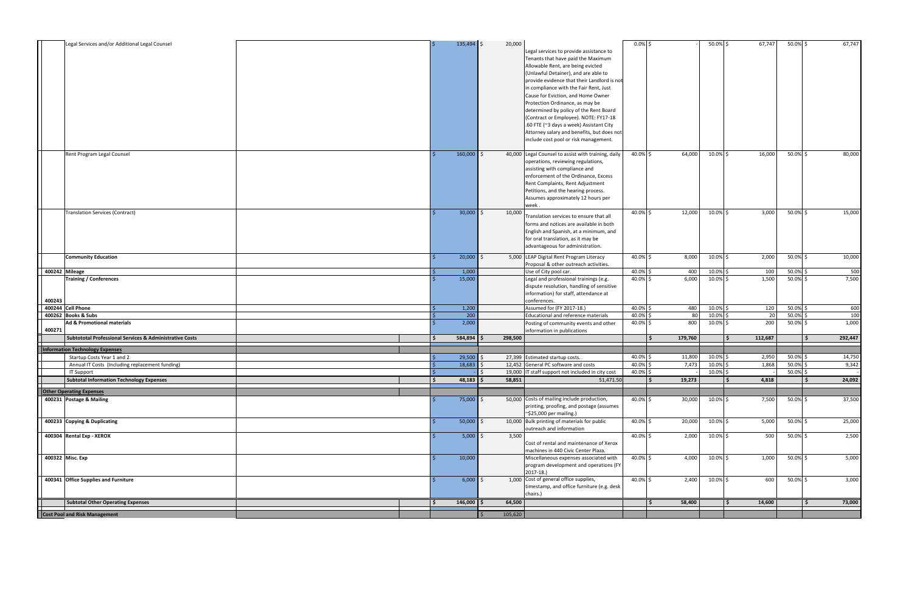| 160,000<br>50.0% \$<br>Rent Program Legal Counsel<br>40.0% \$<br>$10.0\%$ \$<br>Ŝ.<br>operations, reviewing regulations,<br>assisting with compliance and<br>enforcement of the Ordinance, Excess<br>Rent Complaints, Rent Adjustment<br>Petitions, and the hearing process.<br>Assumes approximately 12 hours per<br>week.<br>$30,000$ \$<br><b>Translation Services (Contract)</b><br>10,000<br>12,000<br>10.0% \$<br>3,000<br>50.0%\$<br>15,000<br>40.0% \$<br>Translation services to ensure that all<br>forms and notices are available in both<br>English and Spanish, at a minimum, and<br>for oral translation, as it may be<br>advantageous for administration.<br>20,000<br>5,000 LEAP Digital Rent Program Literacy<br>40.0% \$<br>8,000<br>10.0% \$<br>2,000<br>50.0% \$<br><b>Community Education</b><br>Ŝ.<br>Proposal & other outreach activities.<br>50.0% \$<br>400242 Mileage<br>1,000<br>40.0% \$<br>400<br>10.0% \$<br>100<br>Use of City pool car.<br><b>Training / Conferences</b><br>15,000<br>40.0% \$<br>6,000<br>10.0% \$<br>1,500<br>50.0% \$<br>Legal and professional trainings (e.g.<br>dispute resolution, handling of sensitive<br>information) for staff, attendance at<br>400243<br>conferences.<br>400244 Cell Phone<br>1,200<br>Assumed for (FY 2017-18.)<br>40.0% \$<br>480<br>10.0% \$<br>120<br>50.0% \$<br>200<br>80<br>50.0% \$<br>400262 Books & Subs<br>Educational and reference materials<br>40.0% \$<br>10.0%<br>20<br>2,000<br>800<br>200<br>40.0% \$<br>$10.0\%$ \$<br>50.0% \$<br><b>Ad &amp; Promotional materials</b><br>Posting of community events and other<br>1,000<br>400271<br>information in publications<br>112,687<br><b>Subtototal Professional Services &amp; Administrative Costs</b><br>584,894<br>298,500<br>179,760<br>. Ś<br><b>Information Technology Expenses</b><br>Startup Costs Year 1 and 2<br>29,500<br>50.0% \$<br>27,399 Estimated startup costs.<br>40.0% \$<br>11,800<br>10.0% \$<br>2,950<br>$50.0\%$<br>18,683<br>1,868<br>Annual IT Costs (Including replacement funding)<br>12,452 General PC software and costs<br>40.0% \$<br>7,473<br>10.0%<br>9,342<br>50.0% \$<br>40.0% \$<br>10.0% \$<br><b>IT Support</b><br>19,000 IT staff support not included in city cost<br>$48,183$ \$<br><b>Subtotal Information Technology Expenses</b><br>58,851<br>4,818<br>51,471.50<br>19,273<br>¢,<br>$\ddot{\phantom{0}}$<br><b>Other Operating Expenses</b><br>400231 Postage & Mailing<br>$75,000$ \$<br>50,000 Costs of mailing include production,<br>40.0% \$<br>30,000<br>10.0% \$<br>7,500<br>50.0% \$<br>printing, proofing, and postage (assumes<br>$\sim$ \$25,000 per mailing.)<br>10,000 Bulk printing of materials for public<br>$50,000$ \$<br>40.0% \$<br>20,000<br>10.0% \$<br>5,000<br>50.0% \$<br>400233 Copying & Duplicating<br>outreach and information<br>400304 Rental Exp - XEROX<br>$5,000$ \$<br>3,500<br>40.0% \$<br>2,000<br>10.0% \$<br>500<br>50.0% \$<br>Cost of rental and maintenance of Xerox<br>machines in 440 Civic Center Plaza.<br>400322 Misc. Exp<br>10,000<br>Miscellaneous expenses associated with<br>40.0% \$<br>4,000<br>10.0% \$<br>1,000<br>50.0% \$<br>program development and operations (FY<br>$2017-18.$<br>1,000 Cost of general office supplies,<br>$6,000$ \$<br>600<br>400341 Office Supplies and Furniture<br>40.0% \$<br>2,400<br>10.0% \$<br>50.0% \$<br>timestamp, and office furniture (e.g. desk<br>chairs.)<br><b>Subtotal Other Operating Expenses</b><br>$146,000$ \$<br>58,400<br>14,600<br>64,500<br>Š.<br>l \$<br>105,620<br>Cost Pool and Risk Management | Legal Services and/or Additional Legal Counsel |  | $135,494$ \$ | 20,000<br>Legal services to provide assistance to<br>Tenants that have paid the Maximum<br>Allowable Rent, are being evicted<br>(Unlawful Detainer), and are able to<br>provide evidence that their Landlord is no<br>in compliance with the Fair Rent, Just<br>Cause for Eviction, and Home Owner<br>Protection Ordinance, as may be<br>determined by policy of the Rent Board<br>(Contract or Employee). NOTE: FY17-18<br>.60 FTE (~3 days a week) Assistant City<br>Attorney salary and benefits, but does not<br>include cost pool or risk management. | $0.0\%$ \$ |        | 50.0% \$ | 67,747 | 50.0% \$ | 67,747  |
|--------------------------------------------------------------------------------------------------------------------------------------------------------------------------------------------------------------------------------------------------------------------------------------------------------------------------------------------------------------------------------------------------------------------------------------------------------------------------------------------------------------------------------------------------------------------------------------------------------------------------------------------------------------------------------------------------------------------------------------------------------------------------------------------------------------------------------------------------------------------------------------------------------------------------------------------------------------------------------------------------------------------------------------------------------------------------------------------------------------------------------------------------------------------------------------------------------------------------------------------------------------------------------------------------------------------------------------------------------------------------------------------------------------------------------------------------------------------------------------------------------------------------------------------------------------------------------------------------------------------------------------------------------------------------------------------------------------------------------------------------------------------------------------------------------------------------------------------------------------------------------------------------------------------------------------------------------------------------------------------------------------------------------------------------------------------------------------------------------------------------------------------------------------------------------------------------------------------------------------------------------------------------------------------------------------------------------------------------------------------------------------------------------------------------------------------------------------------------------------------------------------------------------------------------------------------------------------------------------------------------------------------------------------------------------------------------------------------------------------------------------------------------------------------------------------------------------------------------------------------------------------------------------------------------------------------------------------------------------------------------------------------------------------------------------------------------------------------------------------------------------------------------------------------------------------------------------------------------------------------------------------------------------------------------------------------------------------------------------------------------------------------------------------------------------------------------------------------------------------------------------------------------------------------------------------------------------------------------------|------------------------------------------------|--|--------------|------------------------------------------------------------------------------------------------------------------------------------------------------------------------------------------------------------------------------------------------------------------------------------------------------------------------------------------------------------------------------------------------------------------------------------------------------------------------------------------------------------------------------------------------------------|------------|--------|----------|--------|----------|---------|
|                                                                                                                                                                                                                                                                                                                                                                                                                                                                                                                                                                                                                                                                                                                                                                                                                                                                                                                                                                                                                                                                                                                                                                                                                                                                                                                                                                                                                                                                                                                                                                                                                                                                                                                                                                                                                                                                                                                                                                                                                                                                                                                                                                                                                                                                                                                                                                                                                                                                                                                                                                                                                                                                                                                                                                                                                                                                                                                                                                                                                                                                                                                                                                                                                                                                                                                                                                                                                                                                                                                                                                                                        |                                                |  |              | 40,000 Legal Counsel to assist with training, daily                                                                                                                                                                                                                                                                                                                                                                                                                                                                                                        |            | 64,000 |          | 16,000 |          | 80,000  |
|                                                                                                                                                                                                                                                                                                                                                                                                                                                                                                                                                                                                                                                                                                                                                                                                                                                                                                                                                                                                                                                                                                                                                                                                                                                                                                                                                                                                                                                                                                                                                                                                                                                                                                                                                                                                                                                                                                                                                                                                                                                                                                                                                                                                                                                                                                                                                                                                                                                                                                                                                                                                                                                                                                                                                                                                                                                                                                                                                                                                                                                                                                                                                                                                                                                                                                                                                                                                                                                                                                                                                                                                        |                                                |  |              |                                                                                                                                                                                                                                                                                                                                                                                                                                                                                                                                                            |            |        |          |        |          |         |
|                                                                                                                                                                                                                                                                                                                                                                                                                                                                                                                                                                                                                                                                                                                                                                                                                                                                                                                                                                                                                                                                                                                                                                                                                                                                                                                                                                                                                                                                                                                                                                                                                                                                                                                                                                                                                                                                                                                                                                                                                                                                                                                                                                                                                                                                                                                                                                                                                                                                                                                                                                                                                                                                                                                                                                                                                                                                                                                                                                                                                                                                                                                                                                                                                                                                                                                                                                                                                                                                                                                                                                                                        |                                                |  |              |                                                                                                                                                                                                                                                                                                                                                                                                                                                                                                                                                            |            |        |          |        |          | 10,000  |
|                                                                                                                                                                                                                                                                                                                                                                                                                                                                                                                                                                                                                                                                                                                                                                                                                                                                                                                                                                                                                                                                                                                                                                                                                                                                                                                                                                                                                                                                                                                                                                                                                                                                                                                                                                                                                                                                                                                                                                                                                                                                                                                                                                                                                                                                                                                                                                                                                                                                                                                                                                                                                                                                                                                                                                                                                                                                                                                                                                                                                                                                                                                                                                                                                                                                                                                                                                                                                                                                                                                                                                                                        |                                                |  |              |                                                                                                                                                                                                                                                                                                                                                                                                                                                                                                                                                            |            |        |          |        |          | 500     |
|                                                                                                                                                                                                                                                                                                                                                                                                                                                                                                                                                                                                                                                                                                                                                                                                                                                                                                                                                                                                                                                                                                                                                                                                                                                                                                                                                                                                                                                                                                                                                                                                                                                                                                                                                                                                                                                                                                                                                                                                                                                                                                                                                                                                                                                                                                                                                                                                                                                                                                                                                                                                                                                                                                                                                                                                                                                                                                                                                                                                                                                                                                                                                                                                                                                                                                                                                                                                                                                                                                                                                                                                        |                                                |  |              |                                                                                                                                                                                                                                                                                                                                                                                                                                                                                                                                                            |            |        |          |        |          | 7,500   |
|                                                                                                                                                                                                                                                                                                                                                                                                                                                                                                                                                                                                                                                                                                                                                                                                                                                                                                                                                                                                                                                                                                                                                                                                                                                                                                                                                                                                                                                                                                                                                                                                                                                                                                                                                                                                                                                                                                                                                                                                                                                                                                                                                                                                                                                                                                                                                                                                                                                                                                                                                                                                                                                                                                                                                                                                                                                                                                                                                                                                                                                                                                                                                                                                                                                                                                                                                                                                                                                                                                                                                                                                        |                                                |  |              |                                                                                                                                                                                                                                                                                                                                                                                                                                                                                                                                                            |            |        |          |        |          | 600     |
|                                                                                                                                                                                                                                                                                                                                                                                                                                                                                                                                                                                                                                                                                                                                                                                                                                                                                                                                                                                                                                                                                                                                                                                                                                                                                                                                                                                                                                                                                                                                                                                                                                                                                                                                                                                                                                                                                                                                                                                                                                                                                                                                                                                                                                                                                                                                                                                                                                                                                                                                                                                                                                                                                                                                                                                                                                                                                                                                                                                                                                                                                                                                                                                                                                                                                                                                                                                                                                                                                                                                                                                                        |                                                |  |              |                                                                                                                                                                                                                                                                                                                                                                                                                                                                                                                                                            |            |        |          |        |          | 100     |
|                                                                                                                                                                                                                                                                                                                                                                                                                                                                                                                                                                                                                                                                                                                                                                                                                                                                                                                                                                                                                                                                                                                                                                                                                                                                                                                                                                                                                                                                                                                                                                                                                                                                                                                                                                                                                                                                                                                                                                                                                                                                                                                                                                                                                                                                                                                                                                                                                                                                                                                                                                                                                                                                                                                                                                                                                                                                                                                                                                                                                                                                                                                                                                                                                                                                                                                                                                                                                                                                                                                                                                                                        |                                                |  |              |                                                                                                                                                                                                                                                                                                                                                                                                                                                                                                                                                            |            |        |          |        |          |         |
|                                                                                                                                                                                                                                                                                                                                                                                                                                                                                                                                                                                                                                                                                                                                                                                                                                                                                                                                                                                                                                                                                                                                                                                                                                                                                                                                                                                                                                                                                                                                                                                                                                                                                                                                                                                                                                                                                                                                                                                                                                                                                                                                                                                                                                                                                                                                                                                                                                                                                                                                                                                                                                                                                                                                                                                                                                                                                                                                                                                                                                                                                                                                                                                                                                                                                                                                                                                                                                                                                                                                                                                                        |                                                |  |              |                                                                                                                                                                                                                                                                                                                                                                                                                                                                                                                                                            |            |        |          |        |          | 292,447 |
|                                                                                                                                                                                                                                                                                                                                                                                                                                                                                                                                                                                                                                                                                                                                                                                                                                                                                                                                                                                                                                                                                                                                                                                                                                                                                                                                                                                                                                                                                                                                                                                                                                                                                                                                                                                                                                                                                                                                                                                                                                                                                                                                                                                                                                                                                                                                                                                                                                                                                                                                                                                                                                                                                                                                                                                                                                                                                                                                                                                                                                                                                                                                                                                                                                                                                                                                                                                                                                                                                                                                                                                                        |                                                |  |              |                                                                                                                                                                                                                                                                                                                                                                                                                                                                                                                                                            |            |        |          |        |          |         |
|                                                                                                                                                                                                                                                                                                                                                                                                                                                                                                                                                                                                                                                                                                                                                                                                                                                                                                                                                                                                                                                                                                                                                                                                                                                                                                                                                                                                                                                                                                                                                                                                                                                                                                                                                                                                                                                                                                                                                                                                                                                                                                                                                                                                                                                                                                                                                                                                                                                                                                                                                                                                                                                                                                                                                                                                                                                                                                                                                                                                                                                                                                                                                                                                                                                                                                                                                                                                                                                                                                                                                                                                        |                                                |  |              |                                                                                                                                                                                                                                                                                                                                                                                                                                                                                                                                                            |            |        |          |        |          | 14,750  |
|                                                                                                                                                                                                                                                                                                                                                                                                                                                                                                                                                                                                                                                                                                                                                                                                                                                                                                                                                                                                                                                                                                                                                                                                                                                                                                                                                                                                                                                                                                                                                                                                                                                                                                                                                                                                                                                                                                                                                                                                                                                                                                                                                                                                                                                                                                                                                                                                                                                                                                                                                                                                                                                                                                                                                                                                                                                                                                                                                                                                                                                                                                                                                                                                                                                                                                                                                                                                                                                                                                                                                                                                        |                                                |  |              |                                                                                                                                                                                                                                                                                                                                                                                                                                                                                                                                                            |            |        |          |        |          |         |
|                                                                                                                                                                                                                                                                                                                                                                                                                                                                                                                                                                                                                                                                                                                                                                                                                                                                                                                                                                                                                                                                                                                                                                                                                                                                                                                                                                                                                                                                                                                                                                                                                                                                                                                                                                                                                                                                                                                                                                                                                                                                                                                                                                                                                                                                                                                                                                                                                                                                                                                                                                                                                                                                                                                                                                                                                                                                                                                                                                                                                                                                                                                                                                                                                                                                                                                                                                                                                                                                                                                                                                                                        |                                                |  |              |                                                                                                                                                                                                                                                                                                                                                                                                                                                                                                                                                            |            |        |          |        |          | 24,092  |
|                                                                                                                                                                                                                                                                                                                                                                                                                                                                                                                                                                                                                                                                                                                                                                                                                                                                                                                                                                                                                                                                                                                                                                                                                                                                                                                                                                                                                                                                                                                                                                                                                                                                                                                                                                                                                                                                                                                                                                                                                                                                                                                                                                                                                                                                                                                                                                                                                                                                                                                                                                                                                                                                                                                                                                                                                                                                                                                                                                                                                                                                                                                                                                                                                                                                                                                                                                                                                                                                                                                                                                                                        |                                                |  |              |                                                                                                                                                                                                                                                                                                                                                                                                                                                                                                                                                            |            |        |          |        |          |         |
|                                                                                                                                                                                                                                                                                                                                                                                                                                                                                                                                                                                                                                                                                                                                                                                                                                                                                                                                                                                                                                                                                                                                                                                                                                                                                                                                                                                                                                                                                                                                                                                                                                                                                                                                                                                                                                                                                                                                                                                                                                                                                                                                                                                                                                                                                                                                                                                                                                                                                                                                                                                                                                                                                                                                                                                                                                                                                                                                                                                                                                                                                                                                                                                                                                                                                                                                                                                                                                                                                                                                                                                                        |                                                |  |              |                                                                                                                                                                                                                                                                                                                                                                                                                                                                                                                                                            |            |        |          |        |          | 37,500  |
|                                                                                                                                                                                                                                                                                                                                                                                                                                                                                                                                                                                                                                                                                                                                                                                                                                                                                                                                                                                                                                                                                                                                                                                                                                                                                                                                                                                                                                                                                                                                                                                                                                                                                                                                                                                                                                                                                                                                                                                                                                                                                                                                                                                                                                                                                                                                                                                                                                                                                                                                                                                                                                                                                                                                                                                                                                                                                                                                                                                                                                                                                                                                                                                                                                                                                                                                                                                                                                                                                                                                                                                                        |                                                |  |              |                                                                                                                                                                                                                                                                                                                                                                                                                                                                                                                                                            |            |        |          |        |          | 25,000  |
|                                                                                                                                                                                                                                                                                                                                                                                                                                                                                                                                                                                                                                                                                                                                                                                                                                                                                                                                                                                                                                                                                                                                                                                                                                                                                                                                                                                                                                                                                                                                                                                                                                                                                                                                                                                                                                                                                                                                                                                                                                                                                                                                                                                                                                                                                                                                                                                                                                                                                                                                                                                                                                                                                                                                                                                                                                                                                                                                                                                                                                                                                                                                                                                                                                                                                                                                                                                                                                                                                                                                                                                                        |                                                |  |              |                                                                                                                                                                                                                                                                                                                                                                                                                                                                                                                                                            |            |        |          |        |          | 2,500   |
|                                                                                                                                                                                                                                                                                                                                                                                                                                                                                                                                                                                                                                                                                                                                                                                                                                                                                                                                                                                                                                                                                                                                                                                                                                                                                                                                                                                                                                                                                                                                                                                                                                                                                                                                                                                                                                                                                                                                                                                                                                                                                                                                                                                                                                                                                                                                                                                                                                                                                                                                                                                                                                                                                                                                                                                                                                                                                                                                                                                                                                                                                                                                                                                                                                                                                                                                                                                                                                                                                                                                                                                                        |                                                |  |              |                                                                                                                                                                                                                                                                                                                                                                                                                                                                                                                                                            |            |        |          |        |          | 5,000   |
|                                                                                                                                                                                                                                                                                                                                                                                                                                                                                                                                                                                                                                                                                                                                                                                                                                                                                                                                                                                                                                                                                                                                                                                                                                                                                                                                                                                                                                                                                                                                                                                                                                                                                                                                                                                                                                                                                                                                                                                                                                                                                                                                                                                                                                                                                                                                                                                                                                                                                                                                                                                                                                                                                                                                                                                                                                                                                                                                                                                                                                                                                                                                                                                                                                                                                                                                                                                                                                                                                                                                                                                                        |                                                |  |              |                                                                                                                                                                                                                                                                                                                                                                                                                                                                                                                                                            |            |        |          |        |          | 3,000   |
|                                                                                                                                                                                                                                                                                                                                                                                                                                                                                                                                                                                                                                                                                                                                                                                                                                                                                                                                                                                                                                                                                                                                                                                                                                                                                                                                                                                                                                                                                                                                                                                                                                                                                                                                                                                                                                                                                                                                                                                                                                                                                                                                                                                                                                                                                                                                                                                                                                                                                                                                                                                                                                                                                                                                                                                                                                                                                                                                                                                                                                                                                                                                                                                                                                                                                                                                                                                                                                                                                                                                                                                                        |                                                |  |              |                                                                                                                                                                                                                                                                                                                                                                                                                                                                                                                                                            |            |        |          |        |          | 73,000  |
|                                                                                                                                                                                                                                                                                                                                                                                                                                                                                                                                                                                                                                                                                                                                                                                                                                                                                                                                                                                                                                                                                                                                                                                                                                                                                                                                                                                                                                                                                                                                                                                                                                                                                                                                                                                                                                                                                                                                                                                                                                                                                                                                                                                                                                                                                                                                                                                                                                                                                                                                                                                                                                                                                                                                                                                                                                                                                                                                                                                                                                                                                                                                                                                                                                                                                                                                                                                                                                                                                                                                                                                                        |                                                |  |              |                                                                                                                                                                                                                                                                                                                                                                                                                                                                                                                                                            |            |        |          |        |          |         |

| \$<br>179,760<br>% \$<br>% \$<br>% \$<br>11,800<br>7,473<br>$\overline{\phantom{0}}$<br>\$<br>19,273<br>%\$<br>30,000<br>$\ddot{\mathsf{s}}$<br>20,000<br>\$<br>2,000<br>\$<br>4,000 | 10.0% \$<br>10.0% \$<br>10.0% \$<br>10.0%<br>10.0%<br>10.0%<br>10.0% | \$<br>\$<br>\$<br>\$<br>\$ | 112,687<br>2,950<br>1,868<br>4,818<br>7,500<br>5,000<br>500<br>1,000   | 50.0%<br>50.0% \$<br>50.0% \$<br>50.0%<br>50.0%<br>50.0%<br>50.0% | \$<br>292,447<br>\$<br>14,750<br>9,342<br>\$<br>24,092<br>\$<br>37,500<br>25,000<br>\$<br>\$<br>2,500<br>5,000<br>\$ |
|--------------------------------------------------------------------------------------------------------------------------------------------------------------------------------------|----------------------------------------------------------------------|----------------------------|------------------------------------------------------------------------|-------------------------------------------------------------------|----------------------------------------------------------------------------------------------------------------------|
|                                                                                                                                                                                      |                                                                      |                            |                                                                        |                                                                   |                                                                                                                      |
|                                                                                                                                                                                      |                                                                      |                            |                                                                        |                                                                   |                                                                                                                      |
|                                                                                                                                                                                      |                                                                      |                            |                                                                        |                                                                   |                                                                                                                      |
|                                                                                                                                                                                      |                                                                      |                            |                                                                        |                                                                   |                                                                                                                      |
|                                                                                                                                                                                      |                                                                      |                            |                                                                        |                                                                   |                                                                                                                      |
|                                                                                                                                                                                      |                                                                      |                            |                                                                        |                                                                   |                                                                                                                      |
|                                                                                                                                                                                      |                                                                      |                            |                                                                        |                                                                   |                                                                                                                      |
|                                                                                                                                                                                      |                                                                      |                            |                                                                        |                                                                   |                                                                                                                      |
|                                                                                                                                                                                      |                                                                      |                            |                                                                        |                                                                   |                                                                                                                      |
|                                                                                                                                                                                      |                                                                      | \$                         |                                                                        |                                                                   |                                                                                                                      |
| 800                                                                                                                                                                                  | 10.0%                                                                | \$                         | 200                                                                    | 50.0%                                                             | \$<br>1,000                                                                                                          |
| 80                                                                                                                                                                                   |                                                                      | \$                         | 20                                                                     | 50.0%                                                             | \$<br>100                                                                                                            |
|                                                                                                                                                                                      |                                                                      |                            |                                                                        |                                                                   | \$<br>600                                                                                                            |
|                                                                                                                                                                                      |                                                                      |                            |                                                                        |                                                                   | 7,500                                                                                                                |
| 400                                                                                                                                                                                  |                                                                      |                            | 100                                                                    | 50.0%                                                             | 500<br>\$                                                                                                            |
| % \$<br>8,000                                                                                                                                                                        |                                                                      | \$                         | 2,000                                                                  | 50.0%                                                             | \$<br>10,000                                                                                                         |
|                                                                                                                                                                                      |                                                                      |                            |                                                                        |                                                                   |                                                                                                                      |
| $\zeta$                                                                                                                                                                              |                                                                      |                            |                                                                        |                                                                   | \$<br>15,000                                                                                                         |
| \$<br>64,000                                                                                                                                                                         | 10.0%                                                                | \$                         | 16,000                                                                 | 50.0%                                                             | \$<br>80,000                                                                                                         |
| % \$                                                                                                                                                                                 | 50.0% \$                                                             |                            | 67,747                                                                 | 50.0% \$                                                          | 67,747                                                                                                               |
|                                                                                                                                                                                      | 12,000<br>% \$<br>% \$<br>6,000<br>% ऽ<br>% ऽ<br>% ऽ<br>480          |                            | 10.0%<br>\$<br>10.0%<br>10.0%<br>\$ ا<br>10.0% \$<br>10.0% \$<br>10.0% | 3,000<br>1,500<br>120                                             | 50.0%<br>$50.0\%$ \$<br>50.0%                                                                                        |